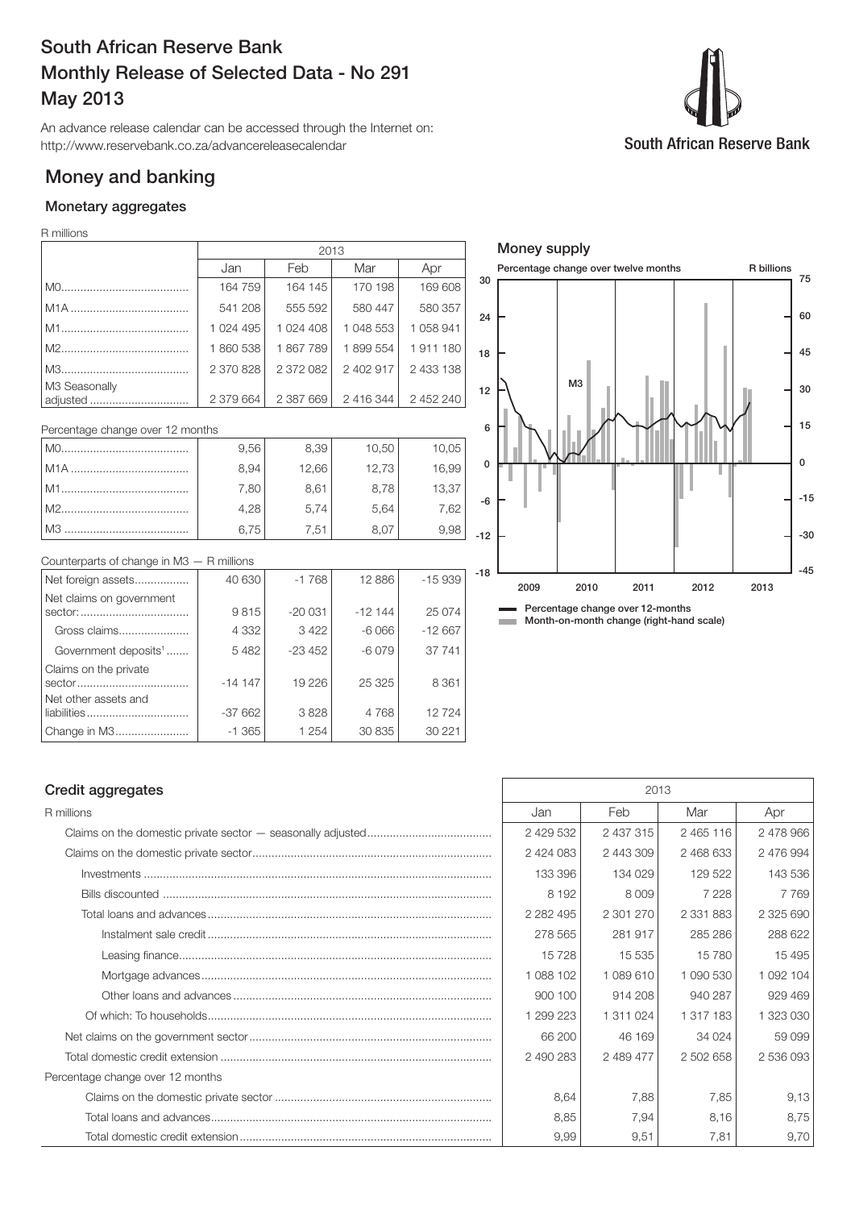# South African Reserve Bank Monthly Release of Selected Data - No 291 May 2013

An advance release calendar can be accessed through the Internet on: http://www.reservebank.co.za/advancereleasecalendar

# Money and banking

# Monetary aggregates

### R millions

|                           |           | 2013      |           |           |  |
|---------------------------|-----------|-----------|-----------|-----------|--|
|                           | Jan       | Feb       | Mar       | Apr       |  |
|                           | 164 759   | 164 145   | 170 198   | 169 608   |  |
|                           | 541 208   | 555 592   | 580 447   | 580 357   |  |
|                           | 1 024 495 | 1 024 408 | 1 048 553 | 1058941   |  |
|                           | 1860538   | 1867789   | 1899 554  | 1911180   |  |
|                           | 2 370 828 | 2 372 082 | 2 402 917 | 2 433 138 |  |
| M3 Seasonally<br>adjusted | 2 379 664 | 2 387 669 | 2 416 344 | 2 452 240 |  |

### Percentage change over 12 months

| $MO$ . | 9,56 | 8,39  | 10,50 | 10,05 |
|--------|------|-------|-------|-------|
|        | 8,94 | 12,66 | 12,73 | 16,99 |
|        | 7,80 | 8,61  | 8,78  | 13,37 |
|        | 4,28 | 5.74  | 5,64  | 7,62  |
|        | 6.75 | 7.51  |       |       |

### Counterparts of change in M3 — R millions

| Net foreign assets                  | 40 630   | $-1768$  | 12 8 86  | $-15939$ |
|-------------------------------------|----------|----------|----------|----------|
| Net claims on government<br>sector: | 9815     | $-20031$ | $-12144$ | 25 0 74  |
| Gross claims                        | 4 3 3 2  | 3422     | $-6066$  | $-12667$ |
| Government deposits <sup>1</sup>    | 5482     | $-23452$ | $-6079$  | 37 741   |
| Claims on the private               | $-14147$ | 19 2 26  | 25 325   | 8 3 6 1  |
| Net other assets and<br>liabilities | $-37662$ | 3828     | 4768     | 12724    |
| Change in M3                        | $-1.365$ | 1 2 5 4  | 30 835   | 30 221   |



# Money supply

# Month-on-month change (right-hand scale)

# Credit aggregates 2013

| R millions                       | Jan           | Feb       | Mar           | Apr           |
|----------------------------------|---------------|-----------|---------------|---------------|
|                                  | 2 429 532     | 2 437 315 | 2 4 6 5 1 1 6 | 2 478 966     |
|                                  | 2 424 083     | 2 443 309 | 2 468 633     | 2 476 994     |
|                                  | 133 396       | 134 029   | 129 522       | 143 536       |
|                                  | 8 1 9 2       | 8 0 0 9   | 7 2 2 8       | 7769          |
|                                  | 2 2 8 2 4 9 5 | 2 301 270 | 2 3 3 1 8 8 3 | 2 325 690     |
|                                  | 278 565       | 281 917   | 285 286       | 288 622       |
|                                  | 15728         | 15 535    | 15780         | 15 4 95       |
|                                  | 1 088 102     | 1089610   | 1 090 530     | 1 0 9 2 1 0 4 |
|                                  | 900 100       | 914 208   | 940 287       | 929 469       |
|                                  | 1 299 223     | 1 311 024 | 1 317 183     | 1 323 030     |
|                                  | 66 200        | 46 169    | 34 0 24       | 59 099        |
|                                  | 2 490 283     | 2 489 477 | 2 502 658     | 2 536 093     |
| Percentage change over 12 months |               |           |               |               |
|                                  | 8,64          | 7.88      | 7.85          | 9,13          |
|                                  | 8,85          | 7,94      | 8,16          | 8,75          |
|                                  | 9,99          | 9,51      | 7,81          | 9,70          |

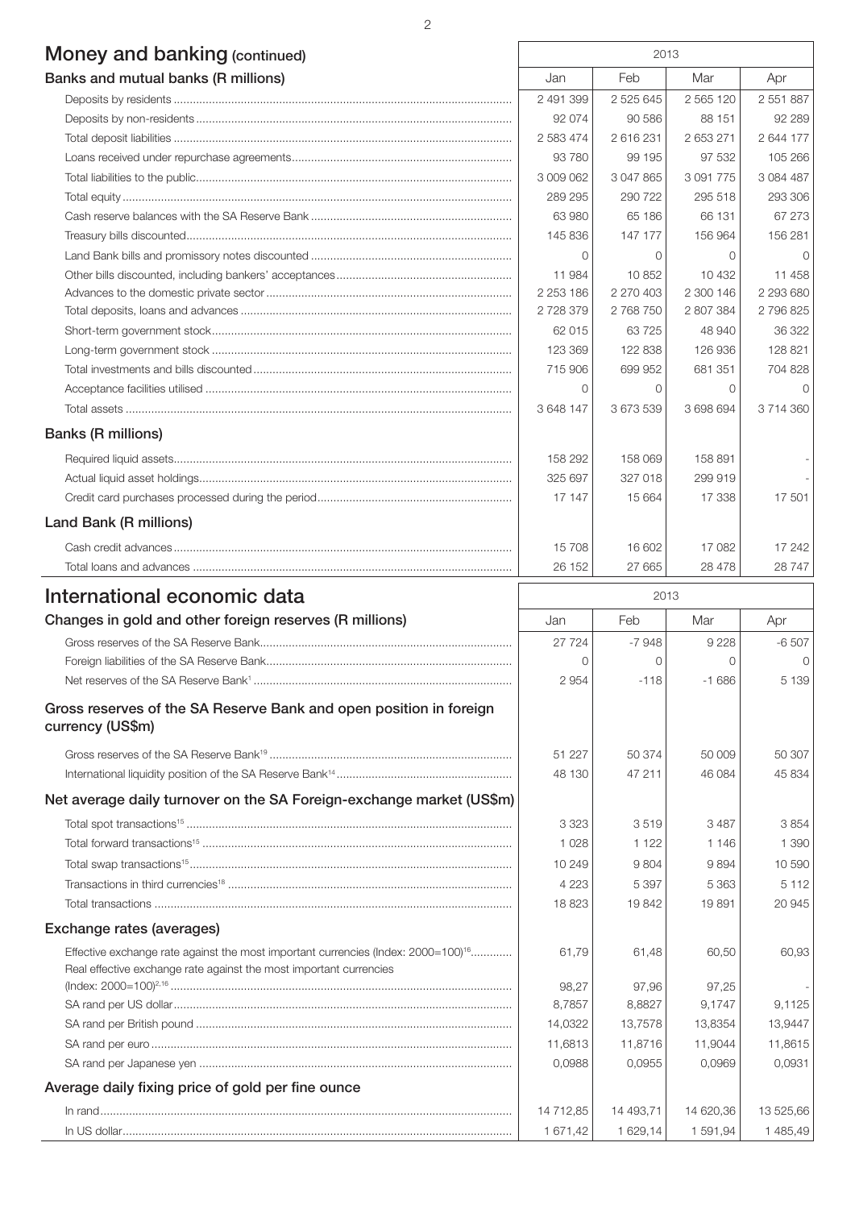# Money and banking (continued) and  $\sqrt{2013}$

| Banks and mutual banks (R millions) | Jan           | Feb       | Mar           | Apr           |
|-------------------------------------|---------------|-----------|---------------|---------------|
|                                     | 2 491 399     | 2 525 645 | 2 565 120     | 2 551 887     |
|                                     | 92 074        | 90 586    | 88 151        | 92 289        |
|                                     | 2 583 474     | 2616231   | 2 653 271     | 2 644 177     |
|                                     | 93 780        | 99 195    | 97 532        | 105 266       |
|                                     | 3 009 062     | 3 047 865 | 3 0 9 1 7 7 5 | 3 0 8 4 4 8 7 |
|                                     | 289 295       | 290 722   | 295 518       | 293 306       |
|                                     | 63 980        | 65 186    | 66 131        | 67 273        |
|                                     | 145 836       | 147 177   | 156 964       | 156 281       |
|                                     | $\Omega$      | ∩         | $\Omega$      | $\Omega$      |
|                                     | 11 984        | 10852     | 10 432        | 11 458        |
|                                     | 2 2 5 3 1 8 6 | 2 270 403 | 2 300 146     | 2 293 680     |
|                                     | 2728379       | 2768750   | 2807384       | 2796825       |
|                                     | 62 015        | 63725     | 48 940        | 36 322        |
|                                     | 123 369       | 122838    | 126 936       | 128 821       |
|                                     | 715 906       | 699 952   | 681 351       | 704 828       |
|                                     | $\Omega$      | O         | $\Omega$      | $\Omega$      |
|                                     | 3 648 147     | 3673539   | 3 698 694     | 3714360       |
| <b>Banks (R millions)</b>           |               |           |               |               |
|                                     | 158 292       | 158 069   | 158 891       |               |
|                                     | 325 697       | 327 018   | 299 919       |               |
|                                     | 17 147        | 15 664    | 17 338        | 17 501        |
| Land Bank (R millions)              |               |           |               |               |
|                                     | 15 708        | 16 602    | 17082         | 17 242        |
|                                     | 26 152        | 27 665    | 28 478        | 28747         |
|                                     |               |           |               |               |

| International economic data                                                                   | 2013      |           |           |           |
|-----------------------------------------------------------------------------------------------|-----------|-----------|-----------|-----------|
| Changes in gold and other foreign reserves (R millions)                                       | Jan       | Feb       | Mar       | Apr       |
|                                                                                               | 27 7 24   | $-7948$   | 9 2 2 8   | $-6507$   |
|                                                                                               | $\Omega$  | 0         | $\Omega$  | $\Omega$  |
|                                                                                               | 2954      | $-118$    | $-1686$   | 5 1 3 9   |
| Gross reserves of the SA Reserve Bank and open position in foreign<br>currency (US\$m)        |           |           |           |           |
|                                                                                               | 51 227    | 50 374    | 50 009    | 50 307    |
|                                                                                               | 48 130    | 47 211    | 46 084    | 45 834    |
| Net average daily turnover on the SA Foreign-exchange market (US\$m)                          |           |           |           |           |
|                                                                                               | 3 3 2 3   | 3519      | 3487      | 3854      |
|                                                                                               | 1 0 2 8   | 1 1 2 2   | 1 1 4 6   | 1 3 9 0   |
|                                                                                               | 10 249    | 9804      | 9894      | 10 590    |
|                                                                                               | 4 2 2 3   | 5 3 9 7   | 5 3 6 3   | 5 1 1 2   |
|                                                                                               | 18823     | 19842     | 19891     | 20 945    |
| Exchange rates (averages)                                                                     |           |           |           |           |
| Effective exchange rate against the most important currencies (Index: 2000=100) <sup>16</sup> | 61.79     | 61,48     | 60,50     | 60,93     |
| Real effective exchange rate against the most important currencies                            |           |           |           |           |
|                                                                                               | 98,27     | 97.96     | 97,25     |           |
|                                                                                               | 8,7857    | 8,8827    | 9,1747    | 9,1125    |
|                                                                                               | 14,0322   | 13,7578   | 13,8354   | 13,9447   |
|                                                                                               | 11,6813   | 11,8716   | 11.9044   | 11,8615   |
|                                                                                               | 0,0988    | 0.0955    | 0.0969    | 0.0931    |
| Average daily fixing price of gold per fine ounce                                             |           |           |           |           |
|                                                                                               | 14 712,85 | 14 493.71 | 14 620,36 | 13 525,66 |
|                                                                                               | 1 671,42  | 1 629,14  | 1 591,94  | 1485,49   |

2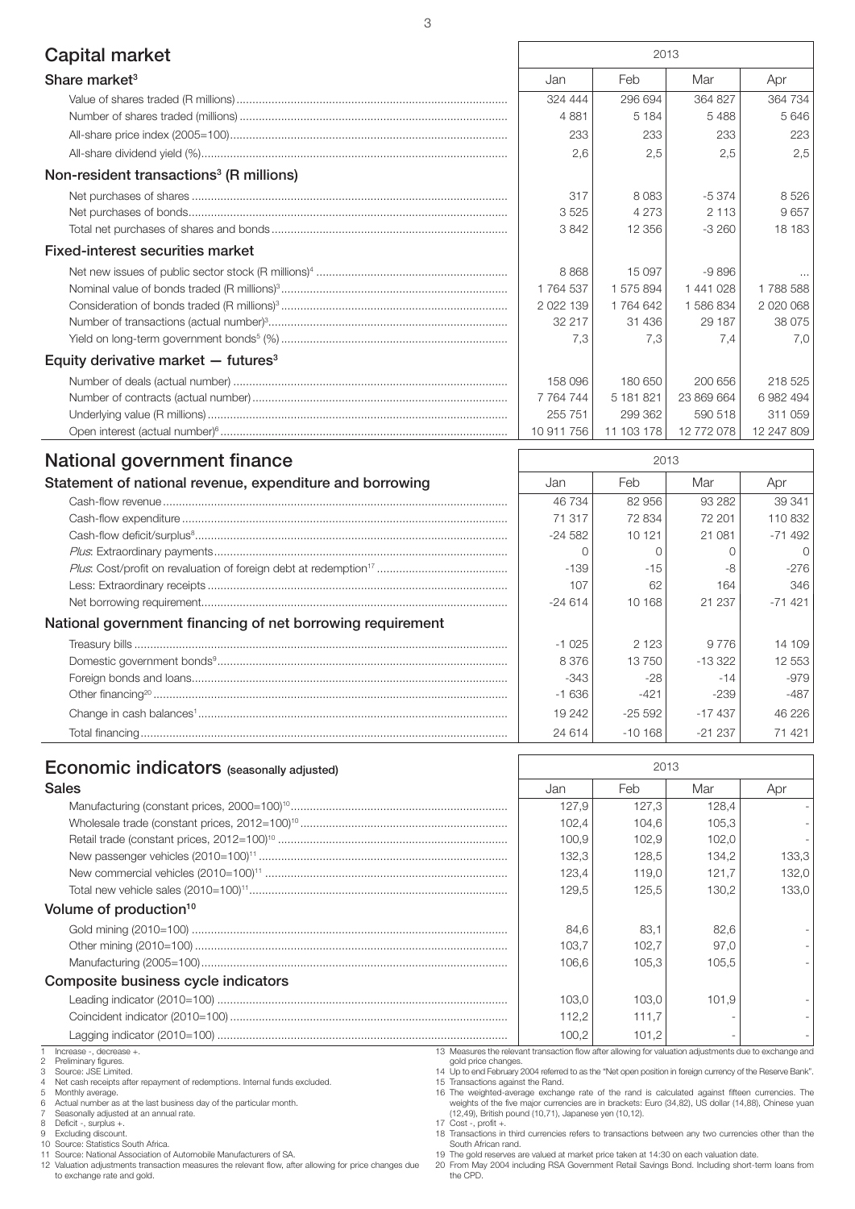| Capital market                                           | 2013          |            |            |            |
|----------------------------------------------------------|---------------|------------|------------|------------|
| Share market <sup>3</sup>                                | Jan           | Feb        | Mar        | Apr        |
|                                                          | 324 444       | 296 694    | 364 827    | 364 734    |
|                                                          | 4881          | 5 1 8 4    | 5488       | 5 6 4 6    |
|                                                          | 233           | 233        | 233        | 223        |
|                                                          | 2,6           | 2,5        | 2,5        | 2,5        |
| Non-resident transactions <sup>3</sup> (R millions)      |               |            |            |            |
|                                                          | 317           | 8 0 8 3    | $-5374$    | 8526       |
|                                                          | 3525          | 4 2 7 3    | 2 1 1 3    | 9657       |
|                                                          | 3842          | 12 356     | $-3260$    | 18 183     |
| <b>Fixed-interest securities market</b>                  |               |            |            |            |
|                                                          | 8868          | 15 097     | $-9896$    |            |
|                                                          | 1764 537      | 1 575 894  | 1 441 028  | 1788588    |
|                                                          | 2 0 2 1 1 3 9 | 1 764 642  | 1 586 834  | 2 020 068  |
|                                                          | 32 217        | 31 4 36    | 29 187     | 38 0 75    |
|                                                          | 7,3           | 7,3        | 7,4        | 7.0        |
| Equity derivative market $-$ futures <sup>3</sup>        |               |            |            |            |
|                                                          | 158 096       | 180 650    | 200 656    | 218 525    |
|                                                          | 7 7 64 7 44   | 5 181 821  | 23 869 664 | 6 982 494  |
|                                                          | 255 751       | 299 362    | 590 518    | 311 059    |
|                                                          | 10 911 756    | 11 103 178 | 12 772 078 | 12 247 809 |
| National government finance                              | 2013          |            |            |            |
| Statement of national revenue, expenditure and borrowing | Jan           | Feb        | Mar        | Apr        |
|                                                          | 46 734        | 82 956     | 93 282     | 39 341     |
|                                                          | 71 317        | 72834      | 72 201     | 110832     |
|                                                          | $-24582$      | 10 121     | 21 081     | $-71492$   |

|                                                            | 71 317    | 72834     | 72 201    | 110832   |
|------------------------------------------------------------|-----------|-----------|-----------|----------|
|                                                            | $-24.582$ | 10121     | 21 081    | $-71492$ |
|                                                            |           |           |           | 0        |
|                                                            | $-139$    | $-15$     |           | $-276$   |
|                                                            | 107       | 62        | 164       | 346      |
|                                                            | $-24614$  | 10 168    | 21 237    | $-71421$ |
| National government financing of net borrowing requirement |           |           |           |          |
|                                                            | $-1.025$  | 2 1 2 3   | 9 7 7 6   | 14 109   |
|                                                            | 8376      | 13 750    | $-13.322$ | 12 553   |
|                                                            | $-343$    | $-28$     | $-14$     | $-979$   |
|                                                            | $-1636$   | $-421$    | $-239$    | $-487$   |
|                                                            | 19 242    | $-25.592$ | $-17437$  | 46 226   |
|                                                            | 24 614    | $-10,168$ | $-21237$  | 71 421   |
|                                                            |           |           |           |          |

| <b>Economic indicators</b> (seasonally adjusted)                                                                                                                                |       | 2013  |       |       |
|---------------------------------------------------------------------------------------------------------------------------------------------------------------------------------|-------|-------|-------|-------|
| <b>Sales</b>                                                                                                                                                                    | Jan   | Feb   | Mar   | Apr   |
|                                                                                                                                                                                 | 127.9 | 127.3 | 128.4 |       |
|                                                                                                                                                                                 | 102,4 | 104,6 | 105,3 |       |
|                                                                                                                                                                                 | 100,9 | 102,9 | 102,0 |       |
|                                                                                                                                                                                 | 132,3 | 128,5 | 134,2 | 133,3 |
|                                                                                                                                                                                 | 123,4 | 119,0 | 121,7 | 132,0 |
|                                                                                                                                                                                 | 129,5 | 125,5 | 130,2 | 133,0 |
| Volume of production <sup>10</sup>                                                                                                                                              |       |       |       |       |
|                                                                                                                                                                                 | 84.6  | 83.1  | 82,6  |       |
|                                                                                                                                                                                 | 103,7 | 102,7 | 97,0  |       |
|                                                                                                                                                                                 | 106,6 | 105,3 | 105,5 |       |
| Composite business cycle indicators                                                                                                                                             |       |       |       |       |
|                                                                                                                                                                                 | 103.0 | 103.0 | 101.9 |       |
|                                                                                                                                                                                 | 112,2 | 111.7 |       |       |
|                                                                                                                                                                                 | 100.2 | 101.2 |       |       |
| 13 Measures the relevant transaction flow after allowing for valuation adjustments due to exchange and<br>Increase -, decrease +.<br>Preliminary figures.<br>aold price changes |       |       |       |       |

2 Preliminary figures. 3 Source: JSE Limited.

4 Net cash receipts after repayment of redemptions. Internal funds excluded. 5 Monthly average. 6 Actual number as at the last business day of the particular month. 7 Seasonally adjusted at an annual rate.

8 Deficit -, surplus +. 9 Excluding discount. 10 Source: Statistics South Africa. 11 Source: National Association of Automobile Manufacturers of SA.

12 Valuation adjustments transaction measures the relevant flow, after allowing for price changes due to exchange rate and gold.

gold price changes.<br>
14 Up to end February 2004 referred to as the "Net open position in foreign currency of the Reserve Bank".<br>
15 Transactions against the Rand.<br>
16 The weighted-average exchange rate of the rand is calcu

17 Cost -, profit +. 18 Transactions in third currencies refers to transactions between any two currencies other than the

South African rand. 19 The gold reserves are valued at market price taken at 14:30 on each valuation date. 20 From May 2004 including RSA Government Retail Savings Bond. Including short-term loans from

the CPD.